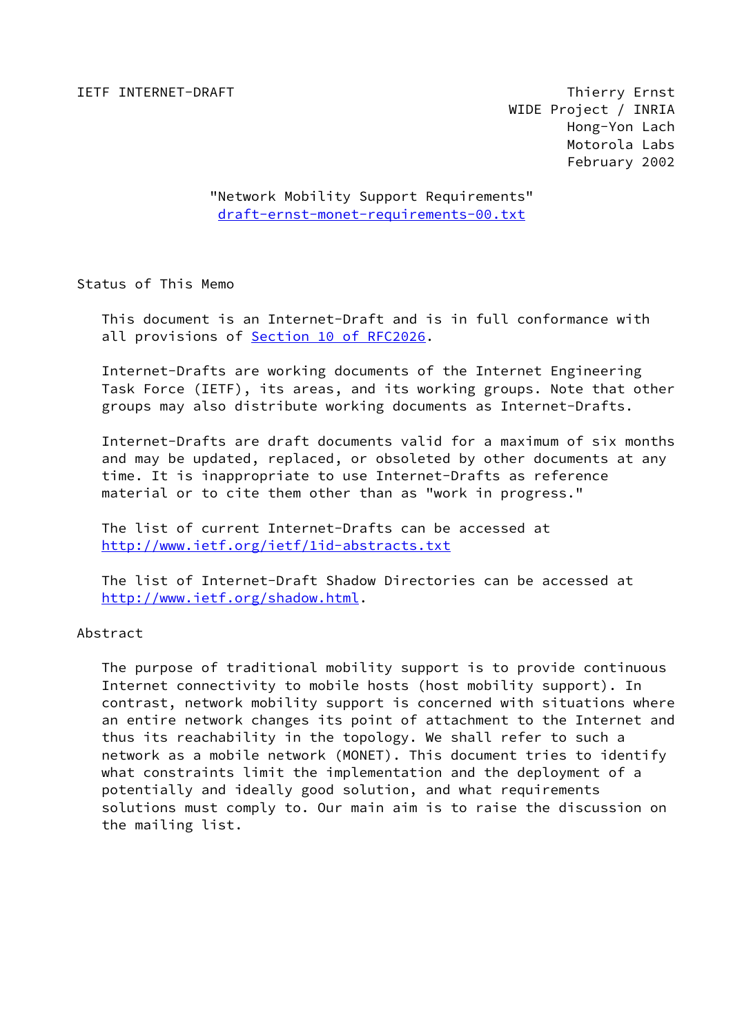IETF INTERNET-DRAFT Thierry Ernst WIDE Project / INRIA Hong-Yon Lach Motorola Labs February 2002

> "Network Mobility Support Requirements" [draft-ernst-monet-requirements-00.txt](https://datatracker.ietf.org/doc/pdf/draft-ernst-monet-requirements-00.txt)

Status of This Memo

 This document is an Internet-Draft and is in full conformance with all provisions of **Section 10 of RFC2026**.

 Internet-Drafts are working documents of the Internet Engineering Task Force (IETF), its areas, and its working groups. Note that other groups may also distribute working documents as Internet-Drafts.

 Internet-Drafts are draft documents valid for a maximum of six months and may be updated, replaced, or obsoleted by other documents at any time. It is inappropriate to use Internet-Drafts as reference material or to cite them other than as "work in progress."

 The list of current Internet-Drafts can be accessed at <http://www.ietf.org/ietf/1id-abstracts.txt>

 The list of Internet-Draft Shadow Directories can be accessed at <http://www.ietf.org/shadow.html>.

Abstract

 The purpose of traditional mobility support is to provide continuous Internet connectivity to mobile hosts (host mobility support). In contrast, network mobility support is concerned with situations where an entire network changes its point of attachment to the Internet and thus its reachability in the topology. We shall refer to such a network as a mobile network (MONET). This document tries to identify what constraints limit the implementation and the deployment of a potentially and ideally good solution, and what requirements solutions must comply to. Our main aim is to raise the discussion on the mailing list.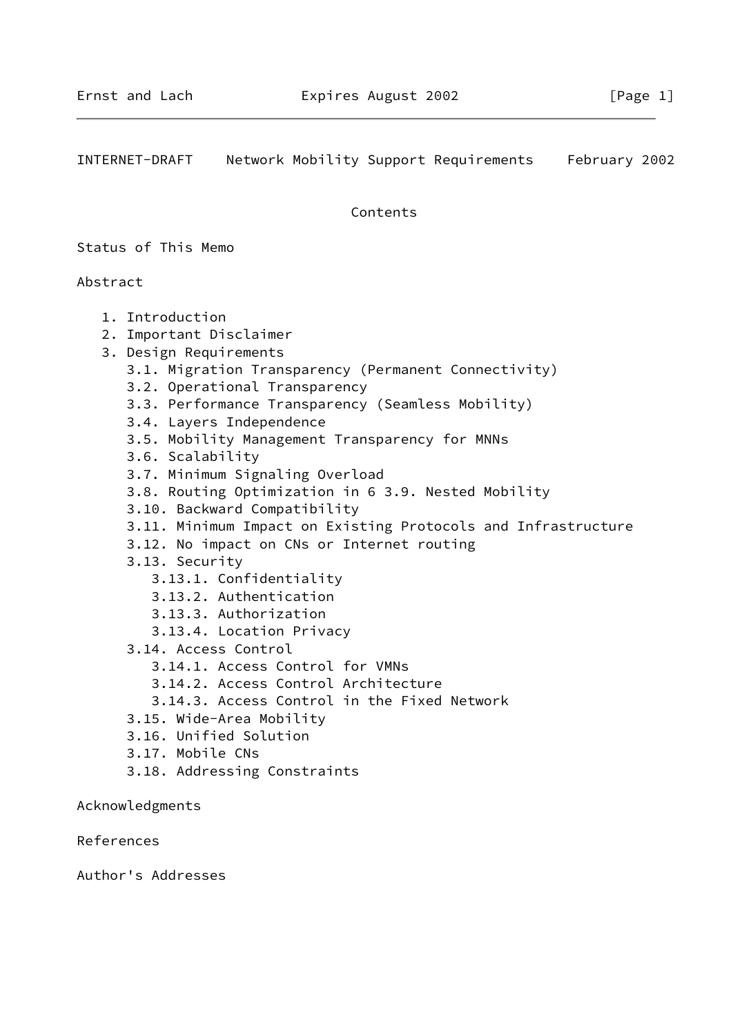INTERNET-DRAFT Network Mobility Support Requirements February 2002

Contents

Status of This Memo

Abstract

- 1. Introduction
- 2. Important Disclaimer
- 3. Design Requirements
	- 3.1. Migration Transparency (Permanent Connectivity)
	- 3.2. Operational Transparency
	- 3.3. Performance Transparency (Seamless Mobility)
	- 3.4. Layers Independence
	- 3.5. Mobility Management Transparency for MNNs
	- 3.6. Scalability
	- 3.7. Minimum Signaling Overload
	- 3.8. Routing Optimization in 6 3.9. Nested Mobility
	- 3.10. Backward Compatibility
	- 3.11. Minimum Impact on Existing Protocols and Infrastructure
	- 3.12. No impact on CNs or Internet routing
	- 3.13. Security
		- 3.13.1. Confidentiality
		- 3.13.2. Authentication
		- 3.13.3. Authorization
		- 3.13.4. Location Privacy
	- 3.14. Access Control
		- 3.14.1. Access Control for VMNs
		- 3.14.2. Access Control Architecture
		- 3.14.3. Access Control in the Fixed Network
	- 3.15. Wide-Area Mobility
	- 3.16. Unified Solution
	- 3.17. Mobile CNs
	- 3.18. Addressing Constraints

Acknowledgments

References

Author's Addresses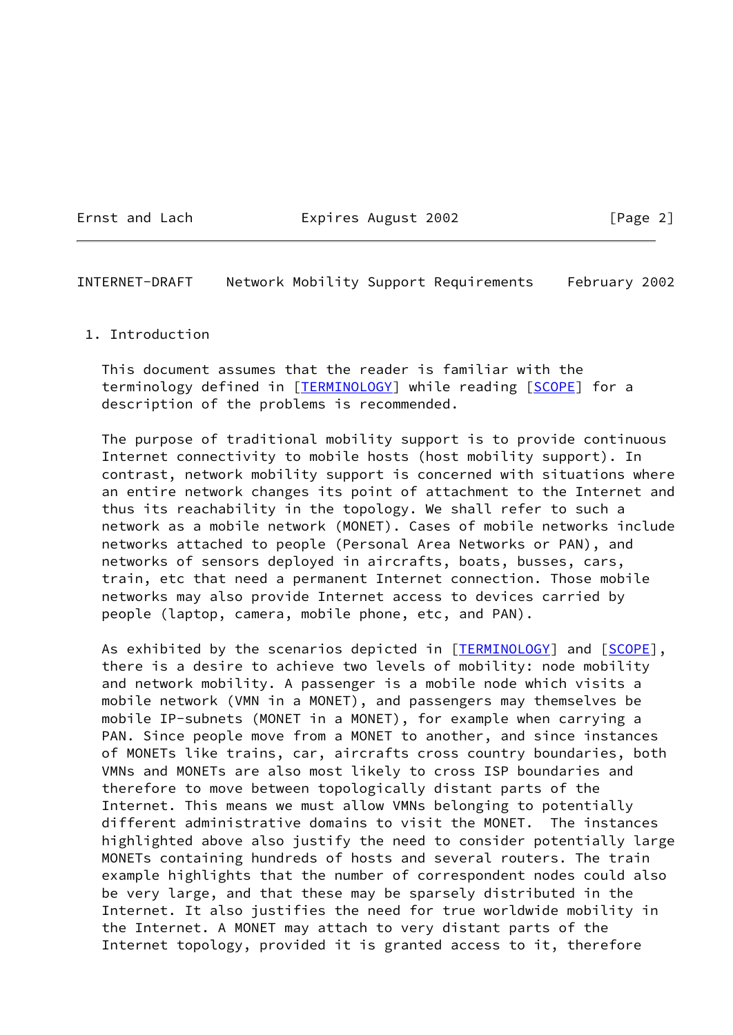#### Ernst and Lach **Expires August 2002** [Page 2]

INTERNET-DRAFT Network Mobility Support Requirements February 2002

#### 1. Introduction

 This document assumes that the reader is familiar with the terminology defined in [\[TERMINOLOGY](#page-12-0)] while reading [[SCOPE\]](#page-12-1) for a description of the problems is recommended.

 The purpose of traditional mobility support is to provide continuous Internet connectivity to mobile hosts (host mobility support). In contrast, network mobility support is concerned with situations where an entire network changes its point of attachment to the Internet and thus its reachability in the topology. We shall refer to such a network as a mobile network (MONET). Cases of mobile networks include networks attached to people (Personal Area Networks or PAN), and networks of sensors deployed in aircrafts, boats, busses, cars, train, etc that need a permanent Internet connection. Those mobile networks may also provide Internet access to devices carried by people (laptop, camera, mobile phone, etc, and PAN).

As exhibited by the scenarios depicted in [[TERMINOLOGY](#page-12-0)] and [\[SCOPE](#page-12-1)], there is a desire to achieve two levels of mobility: node mobility and network mobility. A passenger is a mobile node which visits a mobile network (VMN in a MONET), and passengers may themselves be mobile IP-subnets (MONET in a MONET), for example when carrying a PAN. Since people move from a MONET to another, and since instances of MONETs like trains, car, aircrafts cross country boundaries, both VMNs and MONETs are also most likely to cross ISP boundaries and therefore to move between topologically distant parts of the Internet. This means we must allow VMNs belonging to potentially different administrative domains to visit the MONET. The instances highlighted above also justify the need to consider potentially large MONETs containing hundreds of hosts and several routers. The train example highlights that the number of correspondent nodes could also be very large, and that these may be sparsely distributed in the Internet. It also justifies the need for true worldwide mobility in the Internet. A MONET may attach to very distant parts of the Internet topology, provided it is granted access to it, therefore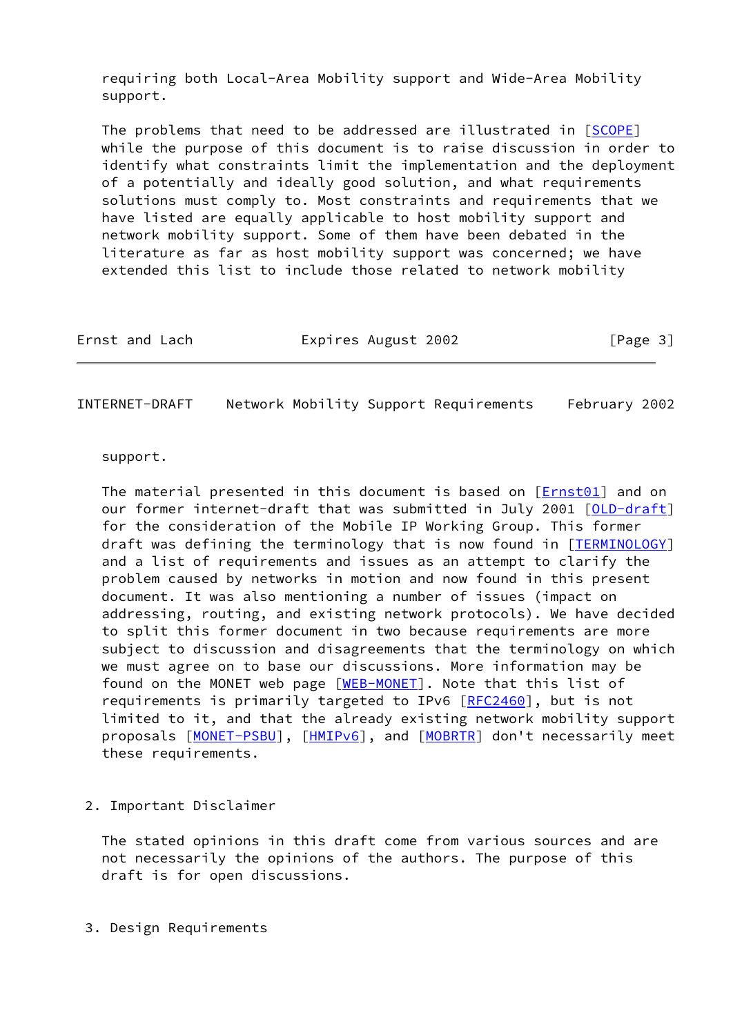requiring both Local-Area Mobility support and Wide-Area Mobility support.

The problems that need to be addressed are illustrated in [[SCOPE\]](#page-12-1) while the purpose of this document is to raise discussion in order to identify what constraints limit the implementation and the deployment of a potentially and ideally good solution, and what requirements solutions must comply to. Most constraints and requirements that we have listed are equally applicable to host mobility support and network mobility support. Some of them have been debated in the literature as far as host mobility support was concerned; we have extended this list to include those related to network mobility

| Ernst and Lach | Expires August 2002 | [Page 3] |
|----------------|---------------------|----------|
|----------------|---------------------|----------|

INTERNET-DRAFT Network Mobility Support Requirements February 2002

support.

The material presented in this document is based on  $[Ent01]$  and on our former internet-draft that was submitted in July 2001 [[OLD-draft\]](#page-12-2) for the consideration of the Mobile IP Working Group. This former draft was defining the terminology that is now found in [\[TERMINOLOGY](#page-12-0)] and a list of requirements and issues as an attempt to clarify the problem caused by networks in motion and now found in this present document. It was also mentioning a number of issues (impact on addressing, routing, and existing network protocols). We have decided to split this former document in two because requirements are more subject to discussion and disagreements that the terminology on which we must agree on to base our discussions. More information may be found on the MONET web page [\[WEB-MONET](#page-12-3)]. Note that this list of requirements is primarily targeted to IPv6 [[RFC2460\]](https://datatracker.ietf.org/doc/pdf/rfc2460), but is not limited to it, and that the already existing network mobility support proposals [[MONET-PSBU\]](#page-12-4), [\[HMIPv6](#page-11-1)], and [[MOBRTR](#page-12-5)] don't necessarily meet these requirements.

2. Important Disclaimer

 The stated opinions in this draft come from various sources and are not necessarily the opinions of the authors. The purpose of this draft is for open discussions.

3. Design Requirements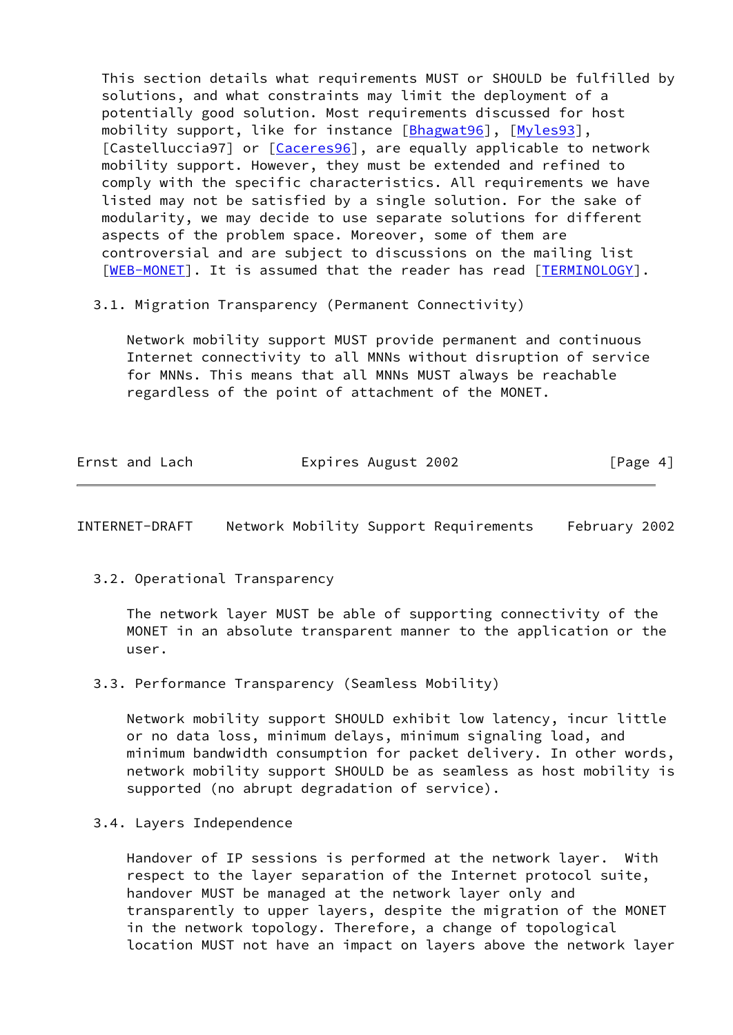This section details what requirements MUST or SHOULD be fulfilled by solutions, and what constraints may limit the deployment of a potentially good solution. Most requirements discussed for host mobility support, like for instance [\[Bhagwat96](#page-11-2)], [\[Myles93](#page-12-6)], [Castelluccia97] or [\[Caceres96](#page-11-3)], are equally applicable to network mobility support. However, they must be extended and refined to comply with the specific characteristics. All requirements we have listed may not be satisfied by a single solution. For the sake of modularity, we may decide to use separate solutions for different aspects of the problem space. Moreover, some of them are controversial and are subject to discussions on the mailing list [\[WEB-MONET](#page-12-3)]. It is assumed that the reader has read [\[TERMINOLOGY](#page-12-0)].

3.1. Migration Transparency (Permanent Connectivity)

 Network mobility support MUST provide permanent and continuous Internet connectivity to all MNNs without disruption of service for MNNs. This means that all MNNs MUST always be reachable regardless of the point of attachment of the MONET.

| Ernst and Lach | Expires August 2002 | [Page 4] |
|----------------|---------------------|----------|
|                |                     |          |

INTERNET-DRAFT Network Mobility Support Requirements February 2002

3.2. Operational Transparency

 The network layer MUST be able of supporting connectivity of the MONET in an absolute transparent manner to the application or the user.

3.3. Performance Transparency (Seamless Mobility)

 Network mobility support SHOULD exhibit low latency, incur little or no data loss, minimum delays, minimum signaling load, and minimum bandwidth consumption for packet delivery. In other words, network mobility support SHOULD be as seamless as host mobility is supported (no abrupt degradation of service).

3.4. Layers Independence

 Handover of IP sessions is performed at the network layer. With respect to the layer separation of the Internet protocol suite, handover MUST be managed at the network layer only and transparently to upper layers, despite the migration of the MONET in the network topology. Therefore, a change of topological location MUST not have an impact on layers above the network layer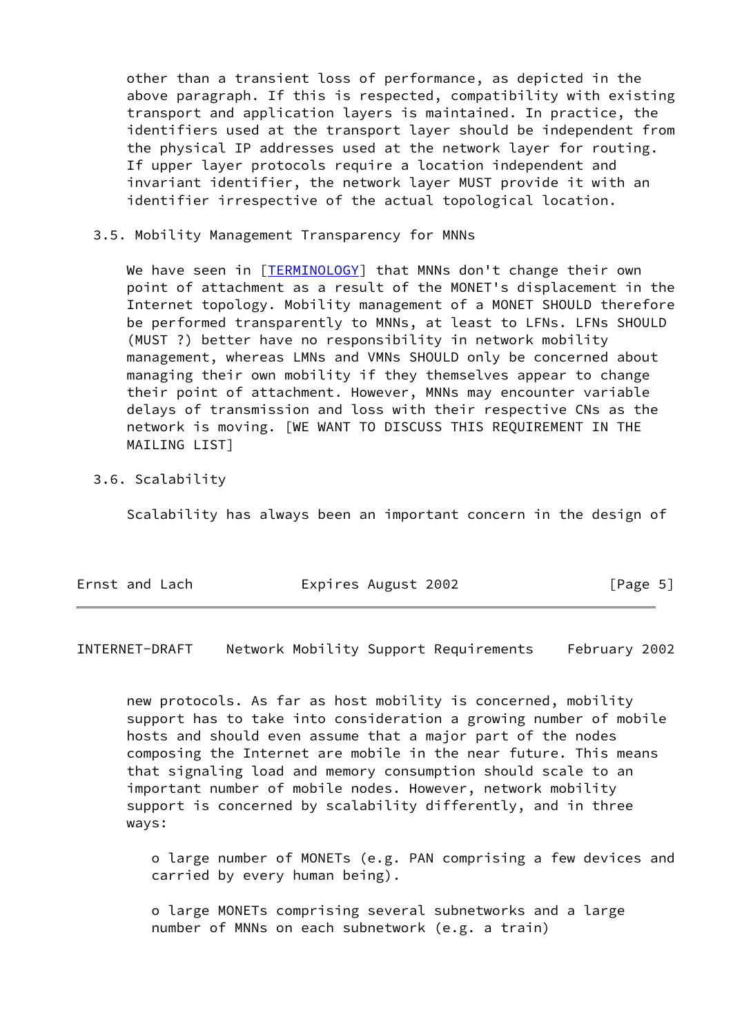other than a transient loss of performance, as depicted in the above paragraph. If this is respected, compatibility with existing transport and application layers is maintained. In practice, the identifiers used at the transport layer should be independent from the physical IP addresses used at the network layer for routing. If upper layer protocols require a location independent and invariant identifier, the network layer MUST provide it with an identifier irrespective of the actual topological location.

### 3.5. Mobility Management Transparency for MNNs

We have seen in [[TERMINOLOGY\]](#page-12-0) that MNNs don't change their own point of attachment as a result of the MONET's displacement in the Internet topology. Mobility management of a MONET SHOULD therefore be performed transparently to MNNs, at least to LFNs. LFNs SHOULD (MUST ?) better have no responsibility in network mobility management, whereas LMNs and VMNs SHOULD only be concerned about managing their own mobility if they themselves appear to change their point of attachment. However, MNNs may encounter variable delays of transmission and loss with their respective CNs as the network is moving. [WE WANT TO DISCUSS THIS REQUIREMENT IN THE MAILING LIST]

### 3.6. Scalability

Scalability has always been an important concern in the design of

| Ernst and Lach | Expires August 2002 | [Page 5] |  |
|----------------|---------------------|----------|--|
|                |                     |          |  |

INTERNET-DRAFT Network Mobility Support Requirements February 2002

 new protocols. As far as host mobility is concerned, mobility support has to take into consideration a growing number of mobile hosts and should even assume that a major part of the nodes composing the Internet are mobile in the near future. This means that signaling load and memory consumption should scale to an important number of mobile nodes. However, network mobility support is concerned by scalability differently, and in three ways:

 o large number of MONETs (e.g. PAN comprising a few devices and carried by every human being).

 o large MONETs comprising several subnetworks and a large number of MNNs on each subnetwork (e.g. a train)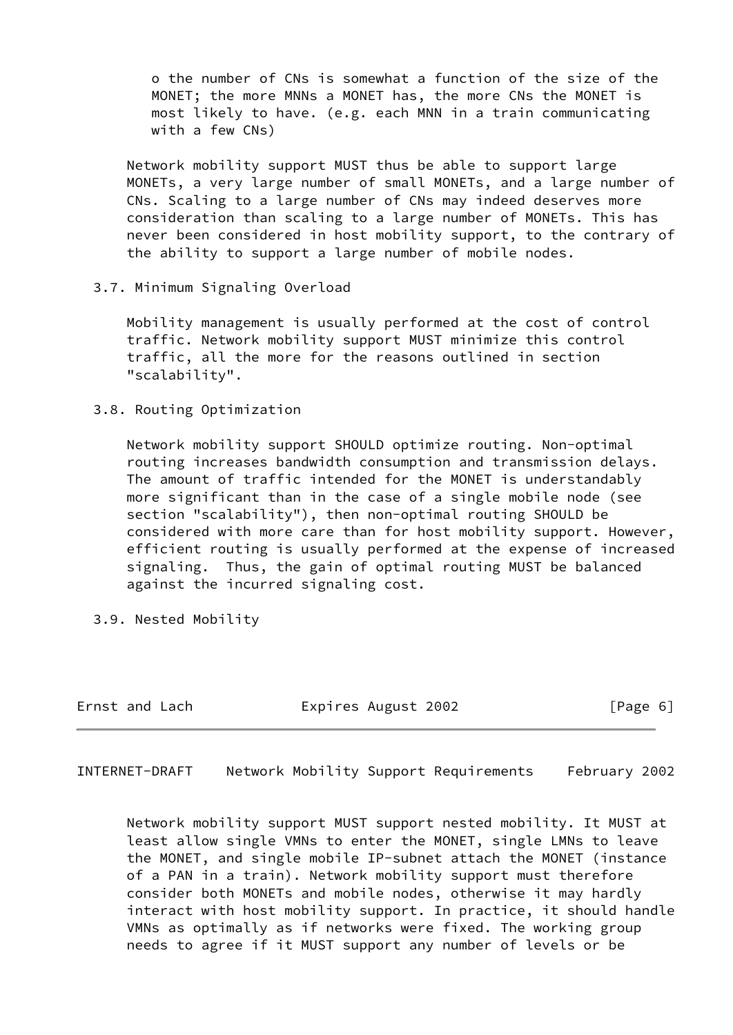o the number of CNs is somewhat a function of the size of the MONET; the more MNNs a MONET has, the more CNs the MONET is most likely to have. (e.g. each MNN in a train communicating with a few CNs)

 Network mobility support MUST thus be able to support large MONETs, a very large number of small MONETs, and a large number of CNs. Scaling to a large number of CNs may indeed deserves more consideration than scaling to a large number of MONETs. This has never been considered in host mobility support, to the contrary of the ability to support a large number of mobile nodes.

3.7. Minimum Signaling Overload

 Mobility management is usually performed at the cost of control traffic. Network mobility support MUST minimize this control traffic, all the more for the reasons outlined in section "scalability".

3.8. Routing Optimization

 Network mobility support SHOULD optimize routing. Non-optimal routing increases bandwidth consumption and transmission delays. The amount of traffic intended for the MONET is understandably more significant than in the case of a single mobile node (see section "scalability"), then non-optimal routing SHOULD be considered with more care than for host mobility support. However, efficient routing is usually performed at the expense of increased signaling. Thus, the gain of optimal routing MUST be balanced against the incurred signaling cost.

3.9. Nested Mobility

| Ernst and Lach | Expires August 2002 | [Page 6] |
|----------------|---------------------|----------|
|----------------|---------------------|----------|

INTERNET-DRAFT Network Mobility Support Requirements February 2002

 Network mobility support MUST support nested mobility. It MUST at least allow single VMNs to enter the MONET, single LMNs to leave the MONET, and single mobile IP-subnet attach the MONET (instance of a PAN in a train). Network mobility support must therefore consider both MONETs and mobile nodes, otherwise it may hardly interact with host mobility support. In practice, it should handle VMNs as optimally as if networks were fixed. The working group needs to agree if it MUST support any number of levels or be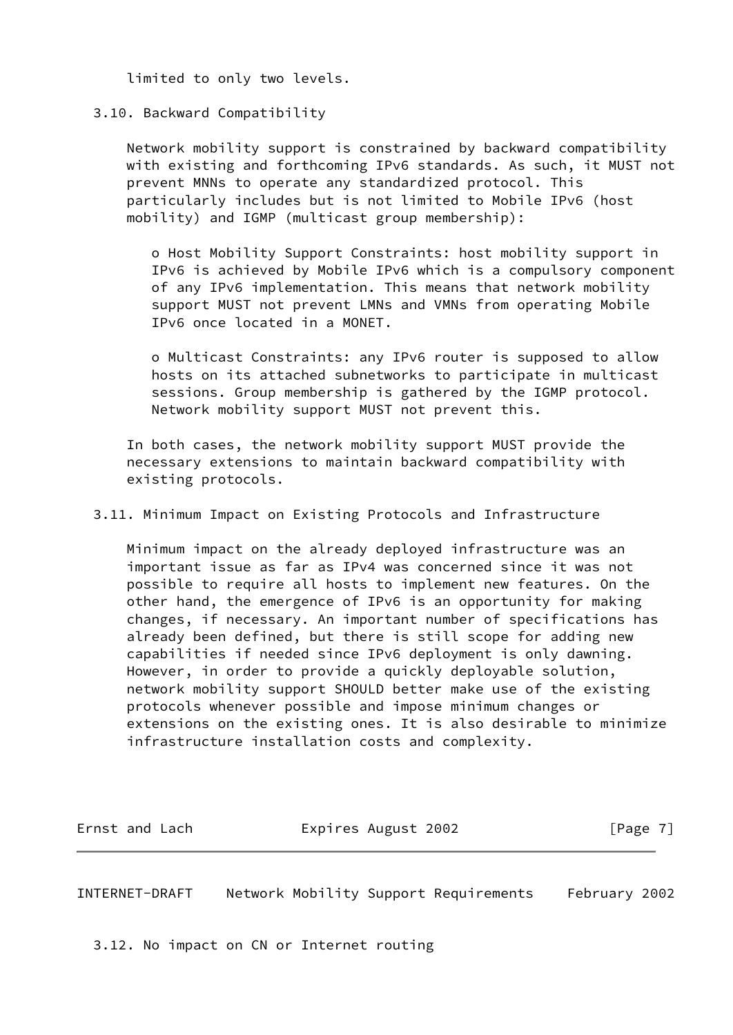limited to only two levels.

## 3.10. Backward Compatibility

 Network mobility support is constrained by backward compatibility with existing and forthcoming IPv6 standards. As such, it MUST not prevent MNNs to operate any standardized protocol. This particularly includes but is not limited to Mobile IPv6 (host mobility) and IGMP (multicast group membership):

 o Host Mobility Support Constraints: host mobility support in IPv6 is achieved by Mobile IPv6 which is a compulsory component of any IPv6 implementation. This means that network mobility support MUST not prevent LMNs and VMNs from operating Mobile IPv6 once located in a MONET.

 o Multicast Constraints: any IPv6 router is supposed to allow hosts on its attached subnetworks to participate in multicast sessions. Group membership is gathered by the IGMP protocol. Network mobility support MUST not prevent this.

 In both cases, the network mobility support MUST provide the necessary extensions to maintain backward compatibility with existing protocols.

3.11. Minimum Impact on Existing Protocols and Infrastructure

 Minimum impact on the already deployed infrastructure was an important issue as far as IPv4 was concerned since it was not possible to require all hosts to implement new features. On the other hand, the emergence of IPv6 is an opportunity for making changes, if necessary. An important number of specifications has already been defined, but there is still scope for adding new capabilities if needed since IPv6 deployment is only dawning. However, in order to provide a quickly deployable solution, network mobility support SHOULD better make use of the existing protocols whenever possible and impose minimum changes or extensions on the existing ones. It is also desirable to minimize infrastructure installation costs and complexity.

Ernst and Lach **Expires August 2002** [Page 7]

INTERNET-DRAFT Network Mobility Support Requirements February 2002

3.12. No impact on CN or Internet routing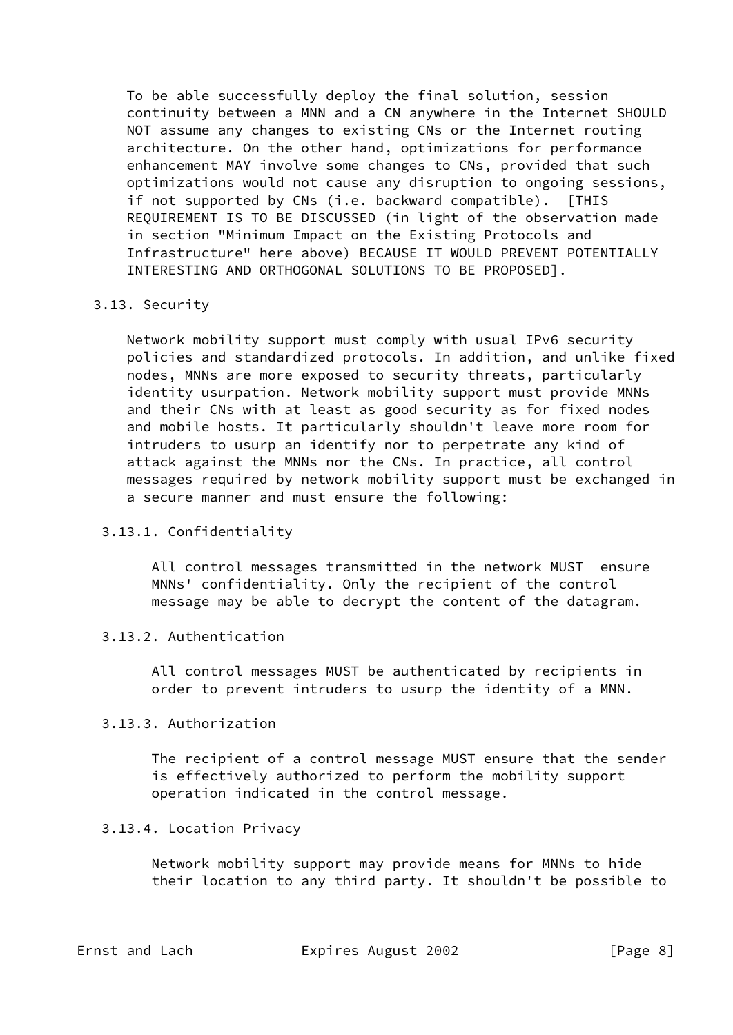To be able successfully deploy the final solution, session continuity between a MNN and a CN anywhere in the Internet SHOULD NOT assume any changes to existing CNs or the Internet routing architecture. On the other hand, optimizations for performance enhancement MAY involve some changes to CNs, provided that such optimizations would not cause any disruption to ongoing sessions, if not supported by CNs (i.e. backward compatible). [THIS REQUIREMENT IS TO BE DISCUSSED (in light of the observation made in section "Minimum Impact on the Existing Protocols and Infrastructure" here above) BECAUSE IT WOULD PREVENT POTENTIALLY INTERESTING AND ORTHOGONAL SOLUTIONS TO BE PROPOSED].

### 3.13. Security

 Network mobility support must comply with usual IPv6 security policies and standardized protocols. In addition, and unlike fixed nodes, MNNs are more exposed to security threats, particularly identity usurpation. Network mobility support must provide MNNs and their CNs with at least as good security as for fixed nodes and mobile hosts. It particularly shouldn't leave more room for intruders to usurp an identify nor to perpetrate any kind of attack against the MNNs nor the CNs. In practice, all control messages required by network mobility support must be exchanged in a secure manner and must ensure the following:

## 3.13.1. Confidentiality

 All control messages transmitted in the network MUST ensure MNNs' confidentiality. Only the recipient of the control message may be able to decrypt the content of the datagram.

### 3.13.2. Authentication

 All control messages MUST be authenticated by recipients in order to prevent intruders to usurp the identity of a MNN.

# 3.13.3. Authorization

 The recipient of a control message MUST ensure that the sender is effectively authorized to perform the mobility support operation indicated in the control message.

## 3.13.4. Location Privacy

 Network mobility support may provide means for MNNs to hide their location to any third party. It shouldn't be possible to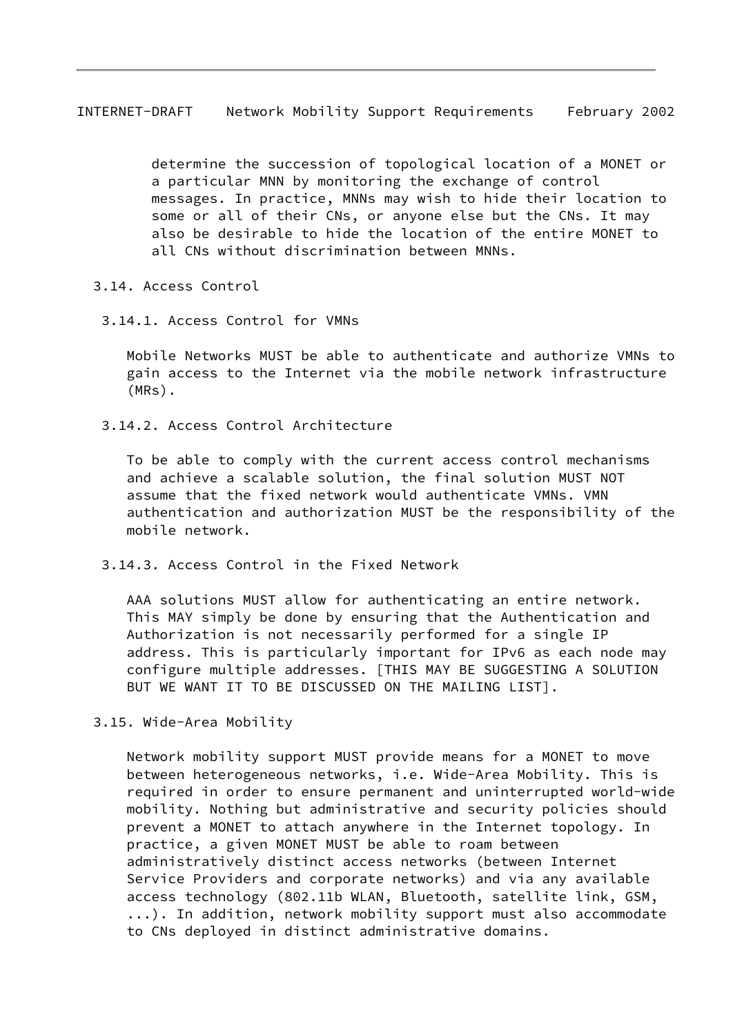INTERNET-DRAFT Network Mobility Support Requirements February 2002

 determine the succession of topological location of a MONET or a particular MNN by monitoring the exchange of control messages. In practice, MNNs may wish to hide their location to some or all of their CNs, or anyone else but the CNs. It may also be desirable to hide the location of the entire MONET to all CNs without discrimination between MNNs.

3.14. Access Control

3.14.1. Access Control for VMNs

 Mobile Networks MUST be able to authenticate and authorize VMNs to gain access to the Internet via the mobile network infrastructure (MRs).

3.14.2. Access Control Architecture

 To be able to comply with the current access control mechanisms and achieve a scalable solution, the final solution MUST NOT assume that the fixed network would authenticate VMNs. VMN authentication and authorization MUST be the responsibility of the mobile network.

3.14.3. Access Control in the Fixed Network

 AAA solutions MUST allow for authenticating an entire network. This MAY simply be done by ensuring that the Authentication and Authorization is not necessarily performed for a single IP address. This is particularly important for IPv6 as each node may configure multiple addresses. [THIS MAY BE SUGGESTING A SOLUTION BUT WE WANT IT TO BE DISCUSSED ON THE MAILING LIST].

3.15. Wide-Area Mobility

 Network mobility support MUST provide means for a MONET to move between heterogeneous networks, i.e. Wide-Area Mobility. This is required in order to ensure permanent and uninterrupted world-wide mobility. Nothing but administrative and security policies should prevent a MONET to attach anywhere in the Internet topology. In practice, a given MONET MUST be able to roam between administratively distinct access networks (between Internet Service Providers and corporate networks) and via any available access technology (802.11b WLAN, Bluetooth, satellite link, GSM, ...). In addition, network mobility support must also accommodate to CNs deployed in distinct administrative domains.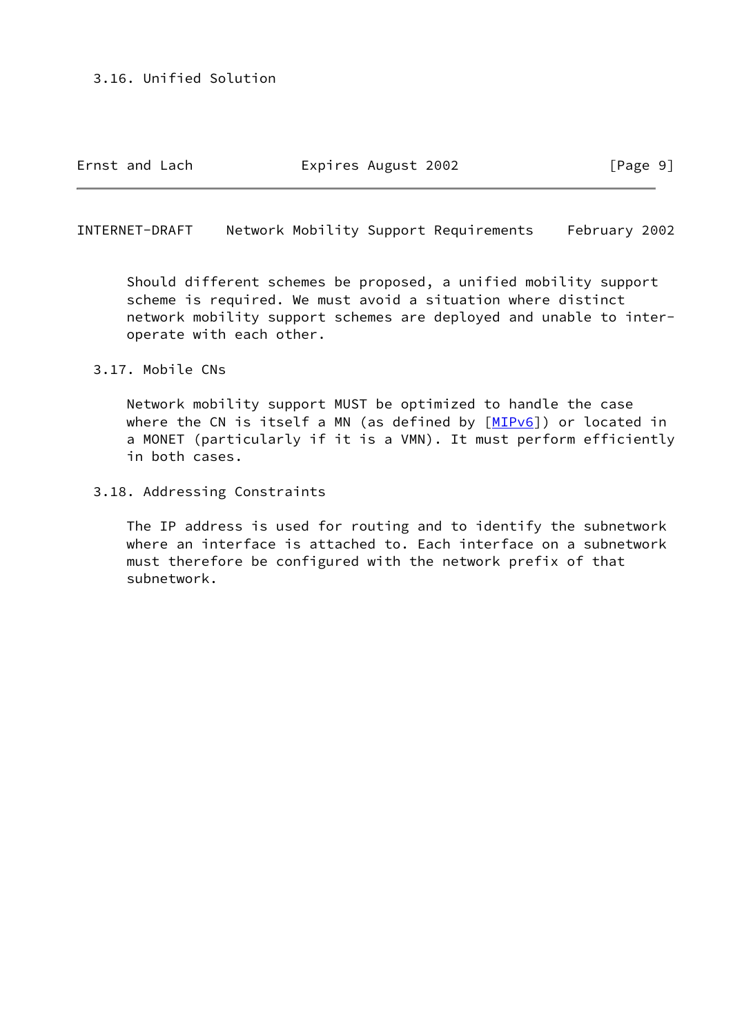Ernst and Lach **Expires August 2002** [Page 9]

INTERNET-DRAFT Network Mobility Support Requirements February 2002

 Should different schemes be proposed, a unified mobility support scheme is required. We must avoid a situation where distinct network mobility support schemes are deployed and unable to inter operate with each other.

3.17. Mobile CNs

 Network mobility support MUST be optimized to handle the case where the CN is itself a MN (as defined by  $[MIPv6]$  $[MIPv6]$ ) or located in a MONET (particularly if it is a VMN). It must perform efficiently in both cases.

3.18. Addressing Constraints

 The IP address is used for routing and to identify the subnetwork where an interface is attached to. Each interface on a subnetwork must therefore be configured with the network prefix of that subnetwork.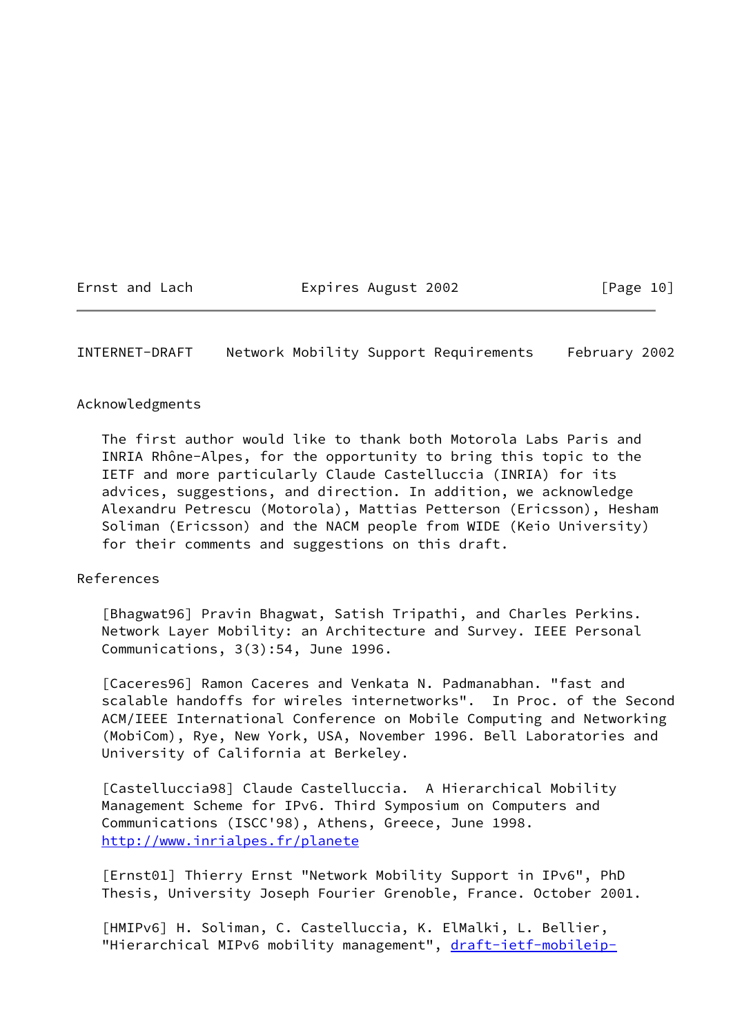Ernst and Lach **Expires August 2002** [Page 10]

INTERNET-DRAFT Network Mobility Support Requirements February 2002

### Acknowledgments

 The first author would like to thank both Motorola Labs Paris and INRIA Rhône-Alpes, for the opportunity to bring this topic to the IETF and more particularly Claude Castelluccia (INRIA) for its advices, suggestions, and direction. In addition, we acknowledge Alexandru Petrescu (Motorola), Mattias Petterson (Ericsson), Hesham Soliman (Ericsson) and the NACM people from WIDE (Keio University) for their comments and suggestions on this draft.

### References

<span id="page-11-2"></span> [Bhagwat96] Pravin Bhagwat, Satish Tripathi, and Charles Perkins. Network Layer Mobility: an Architecture and Survey. IEEE Personal Communications, 3(3):54, June 1996.

<span id="page-11-3"></span> [Caceres96] Ramon Caceres and Venkata N. Padmanabhan. "fast and scalable handoffs for wireles internetworks". In Proc. of the Second ACM/IEEE International Conference on Mobile Computing and Networking (MobiCom), Rye, New York, USA, November 1996. Bell Laboratories and University of California at Berkeley.

 [Castelluccia98] Claude Castelluccia. A Hierarchical Mobility Management Scheme for IPv6. Third Symposium on Computers and Communications (ISCC'98), Athens, Greece, June 1998. <http://www.inrialpes.fr/planete>

<span id="page-11-0"></span> [Ernst01] Thierry Ernst "Network Mobility Support in IPv6", PhD Thesis, University Joseph Fourier Grenoble, France. October 2001.

<span id="page-11-1"></span> [HMIPv6] H. Soliman, C. Castelluccia, K. ElMalki, L. Bellier, "Hierarchical MIPv6 mobility management", [draft-ietf-mobileip-](https://datatracker.ietf.org/doc/pdf/draft-ietf-mobileip-hmipv6-05.txt)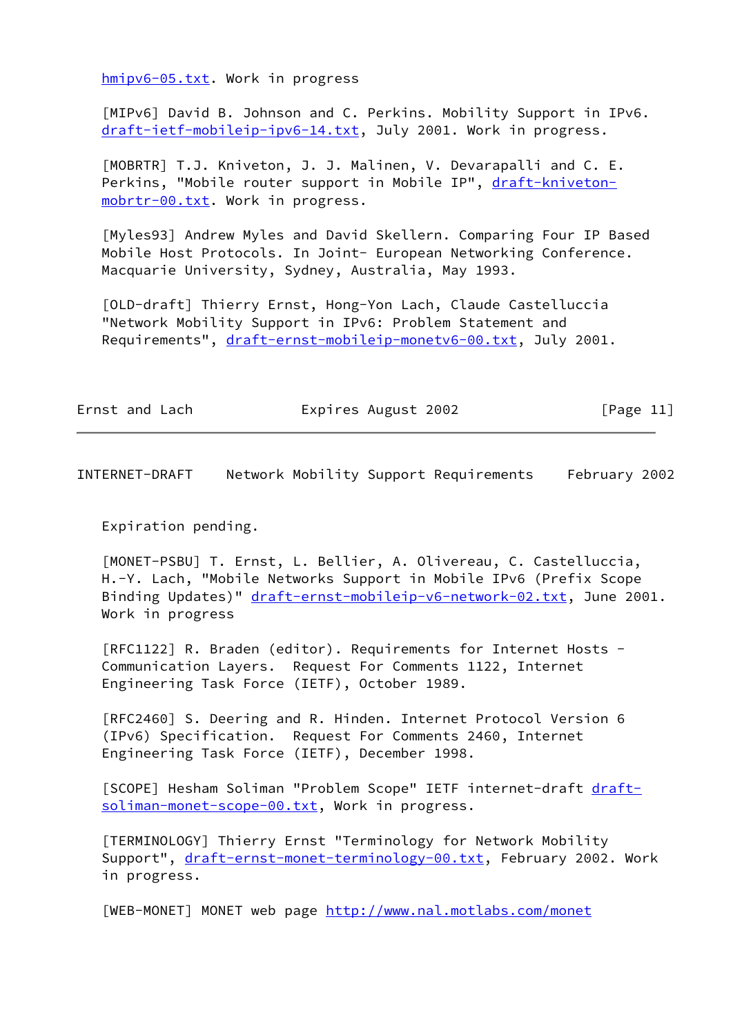[hmipv6-05.txt](https://datatracker.ietf.org/doc/pdf/draft-ietf-mobileip-hmipv6-05.txt). Work in progress

<span id="page-12-7"></span> [MIPv6] David B. Johnson and C. Perkins. Mobility Support in IPv6. [draft-ietf-mobileip-ipv6-14.txt](https://datatracker.ietf.org/doc/pdf/draft-ietf-mobileip-ipv6-14.txt), July 2001. Work in progress.

<span id="page-12-5"></span> [MOBRTR] T.J. Kniveton, J. J. Malinen, V. Devarapalli and C. E. Perkins, "Mobile router support in Mobile IP", [draft-kniveton](https://datatracker.ietf.org/doc/pdf/draft-kniveton-mobrtr-00.txt) [mobrtr-00.txt](https://datatracker.ietf.org/doc/pdf/draft-kniveton-mobrtr-00.txt). Work in progress.

<span id="page-12-6"></span> [Myles93] Andrew Myles and David Skellern. Comparing Four IP Based Mobile Host Protocols. In Joint- European Networking Conference. Macquarie University, Sydney, Australia, May 1993.

<span id="page-12-2"></span> [OLD-draft] Thierry Ernst, Hong-Yon Lach, Claude Castelluccia "Network Mobility Support in IPv6: Problem Statement and Requirements", [draft-ernst-mobileip-monetv6-00.txt](https://datatracker.ietf.org/doc/pdf/draft-ernst-mobileip-monetv6-00.txt), July 2001.

| [Page 11]           |
|---------------------|
| Expires August 2002 |

INTERNET-DRAFT Network Mobility Support Requirements February 2002

Expiration pending.

<span id="page-12-4"></span> [MONET-PSBU] T. Ernst, L. Bellier, A. Olivereau, C. Castelluccia, H.-Y. Lach, "Mobile Networks Support in Mobile IPv6 (Prefix Scope Binding Updates)" [draft-ernst-mobileip-v6-network-02.txt](https://datatracker.ietf.org/doc/pdf/draft-ernst-mobileip-v6-network-02.txt), June 2001. Work in progress

 [RFC1122] R. Braden (editor). Requirements for Internet Hosts - Communication Layers. Request For Comments 1122, Internet Engineering Task Force (IETF), October 1989.

 [RFC2460] S. Deering and R. Hinden. Internet Protocol Version 6 (IPv6) Specification. Request For Comments 2460, Internet Engineering Task Force (IETF), December 1998.

<span id="page-12-1"></span>[SCOPE] Hesham Soliman "Problem Scope" IETF internet-draft [draft](https://datatracker.ietf.org/doc/pdf/draft-soliman-monet-scope-00.txt) [soliman-monet-scope-00.txt](https://datatracker.ietf.org/doc/pdf/draft-soliman-monet-scope-00.txt), Work in progress.

<span id="page-12-0"></span> [TERMINOLOGY] Thierry Ernst "Terminology for Network Mobility Support", [draft-ernst-monet-terminology-00.txt](https://datatracker.ietf.org/doc/pdf/draft-ernst-monet-terminology-00.txt), February 2002. Work in progress.

<span id="page-12-3"></span>[WEB-MONET] MONET web page <http://www.nal.motlabs.com/monet>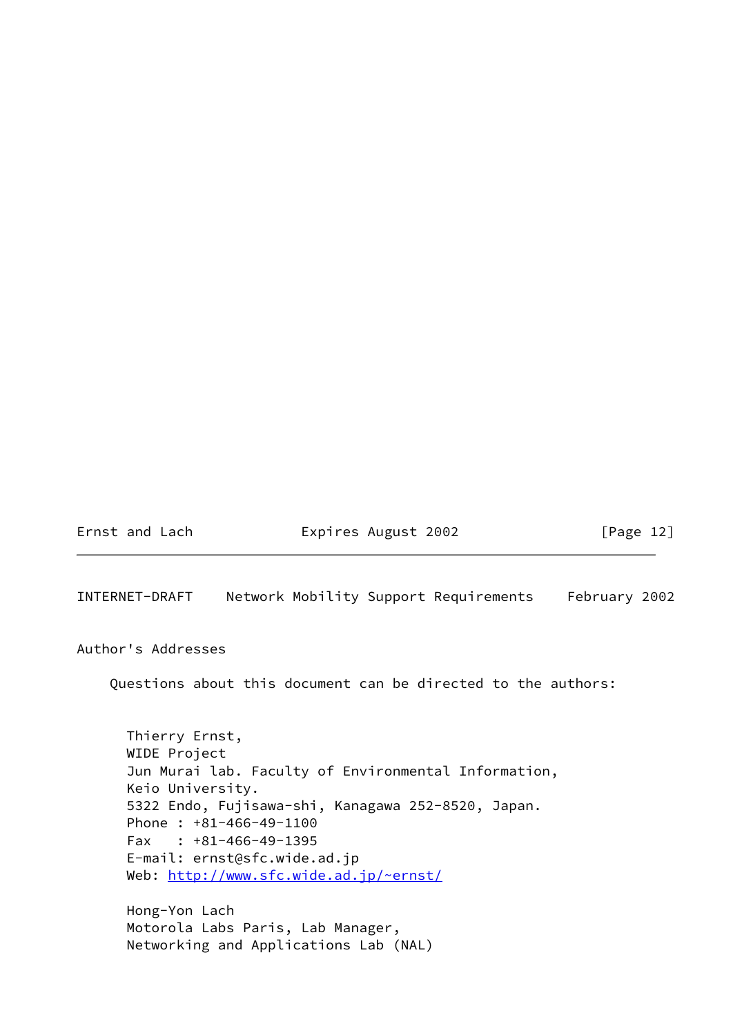Ernst and Lach **Expires August 2002** [Page 12]

INTERNET-DRAFT Network Mobility Support Requirements February 2002

Author's Addresses

Questions about this document can be directed to the authors:

 Thierry Ernst, WIDE Project Jun Murai lab. Faculty of Environmental Information, Keio University. 5322 Endo, Fujisawa-shi, Kanagawa 252-8520, Japan. Phone : +81-466-49-1100 Fax : +81-466-49-1395 E-mail: ernst@sfc.wide.ad.jp Web:<http://www.sfc.wide.ad.jp/~ernst/>

 Hong-Yon Lach Motorola Labs Paris, Lab Manager, Networking and Applications Lab (NAL)